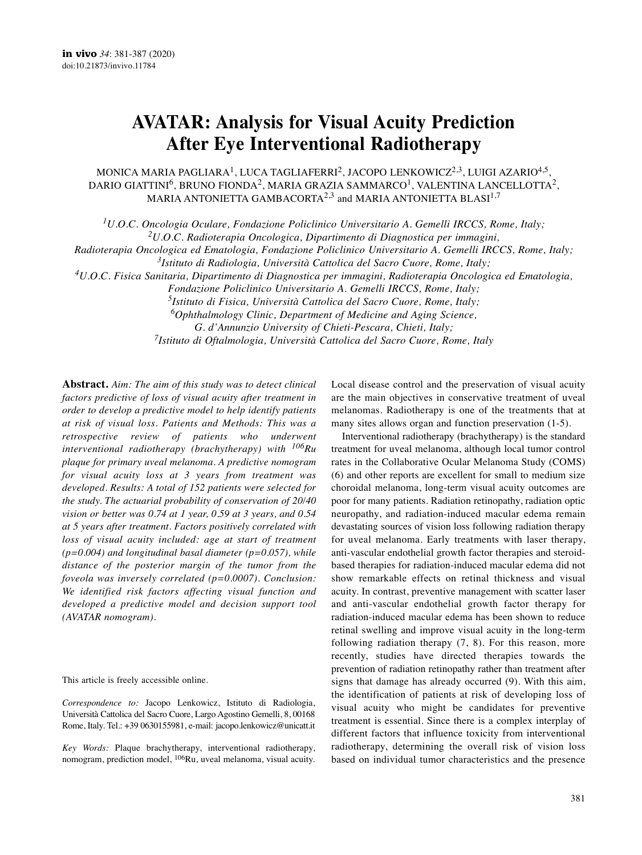# **AVATAR: Analysis for Visual Acuity Prediction After Eye Interventional Radiotherapy**

MONICA MARIA PAGLIARA $^1$ , LUCA TAGLIAFERRI $^2$ , JACOPO LENKOWICZ $^{2,3}$ , LUIGI AZARIO $^{4,5}$ , DARIO GIATTINI $^6$ , BRUNO FIONDA $^2$ , MARIA GRAZIA SAMMARCO $^1$ , VALENTINA LANCELLOTTA $^2$ , MARIA ANTONIETTA GAMBACORTA $^{2,3}$  and MARIA ANTONIETTA BLASI $^{1,7}$ 

*1U.O.C. Oncologia Oculare, Fondazione Policlinico Universitario A. Gemelli IRCCS, Rome, Italy;*

*2U.O.C. Radioterapia Oncologica, Dipartimento di Diagnostica per immagini,*

*Radioterapia Oncologica ed Ematologia, Fondazione Policlinico Universitario A. Gemelli IRCCS, Rome, Italy;*

*3Istituto di Radiologia, Università Cattolica del Sacro Cuore, Rome, Italy;*

*4U.O.C. Fisica Sanitaria, Dipartimento di Diagnostica per immagini, Radioterapia Oncologica ed Ematologia,*

*Fondazione Policlinico Universitario A. Gemelli IRCCS, Rome, Italy;*

*5Istituto di Fisica, Università Cattolica del Sacro Cuore, Rome, Italy;*

*6Ophthalmology Clinic, Department of Medicine and Aging Science,*

*G. d'Annunzio University of Chieti-Pescara, Chieti, Italy;*

*7Istituto di Oftalmologia, Università Cattolica del Sacro Cuore, Rome, Italy*

**Abstract.** *Aim: The aim of this study was to detect clinical factors predictive of loss of visual acuity after treatment in order to develop a predictive model to help identify patients at risk of visual loss. Patients and Methods: This was a retrospective review of patients who underwent interventional radiotherapy (brachytherapy) with 106Ru plaque for primary uveal melanoma. A predictive nomogram for visual acuity loss at 3 years from treatment was developed. Results: A total of 152 patients were selected for the study. The actuarial probability of conservation of 20/40 vision or better was 0.74 at 1 year, 0.59 at 3 years, and 0.54 at 5 years after treatment. Factors positively correlated with loss of visual acuity included: age at start of treatment (p=0.004) and longitudinal basal diameter (p=0.057), while distance of the posterior margin of the tumor from the foveola was inversely correlated (p=0.0007). Conclusion: We identified risk factors affecting visual function and developed a predictive model and decision support tool (AVATAR nomogram).*

This article is freely accessible online.

*Correspondence to:* Jacopo Lenkowicz, Istituto di Radiologia, Università Cattolica del Sacro Cuore, Largo Agostino Gemelli, 8, 00168 Rome, Italy. Tel.: +39 0630155981, e-mail: jacopo.lenkowicz@unicatt.it

*Key Words:* Plaque brachytherapy, interventional radiotherapy, nomogram, prediction model, 106Ru, uveal melanoma, visual acuity. Local disease control and the preservation of visual acuity are the main objectives in conservative treatment of uveal melanomas. Radiotherapy is one of the treatments that at many sites allows organ and function preservation (1-5).

Interventional radiotherapy (brachytherapy) is the standard treatment for uveal melanoma, although local tumor control rates in the Collaborative Ocular Melanoma Study (COMS) (6) and other reports are excellent for small to medium size choroidal melanoma, long-term visual acuity outcomes are poor for many patients. Radiation retinopathy, radiation optic neuropathy, and radiation-induced macular edema remain devastating sources of vision loss following radiation therapy for uveal melanoma. Early treatments with laser therapy, anti-vascular endothelial growth factor therapies and steroidbased therapies for radiation-induced macular edema did not show remarkable effects on retinal thickness and visual acuity. In contrast, preventive management with scatter laser and anti-vascular endothelial growth factor therapy for radiation-induced macular edema has been shown to reduce retinal swelling and improve visual acuity in the long-term following radiation therapy (7, 8). For this reason, more recently, studies have directed therapies towards the prevention of radiation retinopathy rather than treatment after signs that damage has already occurred (9). With this aim, the identification of patients at risk of developing loss of visual acuity who might be candidates for preventive treatment is essential. Since there is a complex interplay of different factors that influence toxicity from interventional radiotherapy, determining the overall risk of vision loss based on individual tumor characteristics and the presence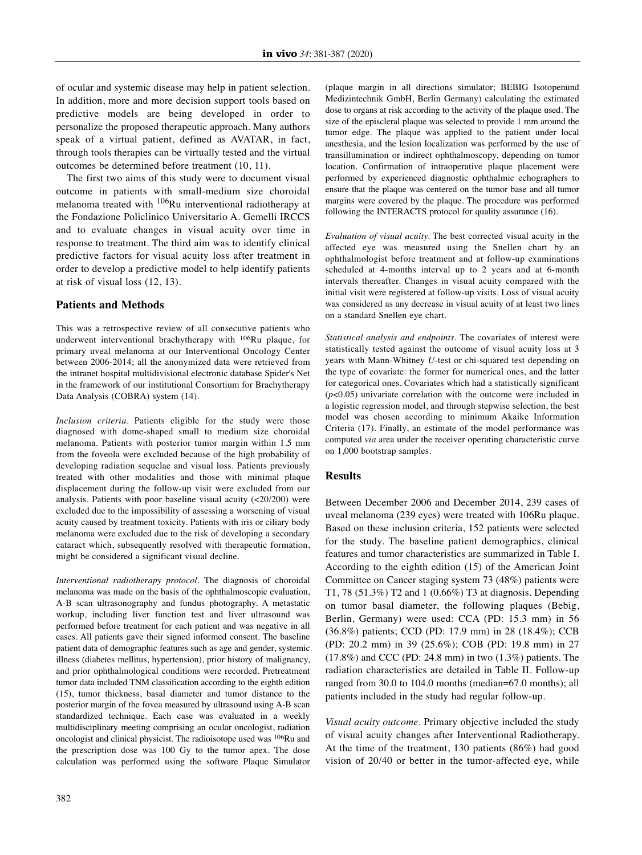of ocular and systemic disease may help in patient selection. In addition, more and more decision support tools based on predictive models are being developed in order to personalize the proposed therapeutic approach. Many authors speak of a virtual patient, defined as AVATAR, in fact, through tools therapies can be virtually tested and the virtual outcomes be determined before treatment (10, 11).

The first two aims of this study were to document visual outcome in patients with small-medium size choroidal melanoma treated with 106Ru interventional radiotherapy at the Fondazione Policlinico Universitario A. Gemelli IRCCS and to evaluate changes in visual acuity over time in response to treatment. The third aim was to identify clinical predictive factors for visual acuity loss after treatment in order to develop a predictive model to help identify patients at risk of visual loss (12, 13).

## **Patients and Methods**

This was a retrospective review of all consecutive patients who underwent interventional brachytherapy with 106Ru plaque, for primary uveal melanoma at our Interventional Oncology Center between 2006-2014; all the anonymized data were retrieved from the intranet hospital multidivisional electronic database Spider's Net in the framework of our institutional Consortium for Brachytherapy Data Analysis (COBRA) system (14).

*Inclusion criteria.* Patients eligible for the study were those diagnosed with dome-shaped small to medium size choroidal melanoma. Patients with posterior tumor margin within 1.5 mm from the foveola were excluded because of the high probability of developing radiation sequelae and visual loss. Patients previously treated with other modalities and those with minimal plaque displacement during the follow-up visit were excluded from our analysis. Patients with poor baseline visual acuity (<20/200) were excluded due to the impossibility of assessing a worsening of visual acuity caused by treatment toxicity. Patients with iris or ciliary body melanoma were excluded due to the risk of developing a secondary cataract which, subsequently resolved with therapeutic formation, might be considered a significant visual decline.

*Interventional radiotherapy protocol.* The diagnosis of choroidal melanoma was made on the basis of the ophthalmoscopic evaluation, A-B scan ultrasonography and fundus photography. A metastatic workup, including liver function test and liver ultrasound was performed before treatment for each patient and was negative in all cases. All patients gave their signed informed consent. The baseline patient data of demographic features such as age and gender, systemic illness (diabetes mellitus, hypertension), prior history of malignancy, and prior ophthalmological conditions were recorded. Pretreatment tumor data included TNM classification according to the eighth edition (15), tumor thickness, basal diameter and tumor distance to the posterior margin of the fovea measured by ultrasound using A-B scan standardized technique. Each case was evaluated in a weekly multidisciplinary meeting comprising an ocular oncologist, radiation oncologist and clinical physicist. The radioisotope used was 106Ru and the prescription dose was 100 Gy to the tumor apex. The dose calculation was performed using the software Plaque Simulator (plaque margin in all directions simulator; BEBIG Isotopenund Medizintechnik GmbH, Berlin Germany) calculating the estimated dose to organs at risk according to the activity of the plaque used. The size of the episcleral plaque was selected to provide 1 mm around the tumor edge. The plaque was applied to the patient under local anesthesia, and the lesion localization was performed by the use of transillumination or indirect ophthalmoscopy, depending on tumor location. Confirmation of intraoperative plaque placement were performed by experienced diagnostic ophthalmic echographers to ensure that the plaque was centered on the tumor base and all tumor margins were covered by the plaque. The procedure was performed following the INTERACTS protocol for quality assurance (16).

*Evaluation of visual acuity.* The best corrected visual acuity in the affected eye was measured using the Snellen chart by an ophthalmologist before treatment and at follow-up examinations scheduled at 4-months interval up to 2 years and at 6-month intervals thereafter. Changes in visual acuity compared with the initial visit were registered at follow-up visits. Loss of visual acuity was considered as any decrease in visual acuity of at least two lines on a standard Snellen eye chart.

*Statistical analysis and endpoints.* The covariates of interest were statistically tested against the outcome of visual acuity loss at 3 years with Mann-Whitney *U*-test or chi-squared test depending on the type of covariate: the former for numerical ones, and the latter for categorical ones. Covariates which had a statistically significant  $(p<0.05)$  univariate correlation with the outcome were included in a logistic regression model, and through stepwise selection, the best model was chosen according to minimum Akaike Information Criteria (17). Finally, an estimate of the model performance was computed *via* area under the receiver operating characteristic curve on 1,000 bootstrap samples.

#### **Results**

Between December 2006 and December 2014, 239 cases of uveal melanoma (239 eyes) were treated with 106Ru plaque. Based on these inclusion criteria, 152 patients were selected for the study. The baseline patient demographics, clinical features and tumor characteristics are summarized in Table I. According to the eighth edition (15) of the American Joint Committee on Cancer staging system 73 (48%) patients were T1, 78 (51.3%) T2 and 1 (0.66%) T3 at diagnosis. Depending on tumor basal diameter, the following plaques (Bebig, Berlin, Germany) were used: CCA (PD: 15.3 mm) in 56 (36.8%) patients; CCD (PD: 17.9 mm) in 28 (18.4%); CCB (PD: 20.2 mm) in 39 (25.6%); COB (PD: 19.8 mm) in 27 (17.8%) and CCC (PD: 24.8 mm) in two (1.3%) patients. The radiation characteristics are detailed in Table II. Follow-up ranged from 30.0 to 104.0 months (median=67.0 months); all patients included in the study had regular follow-up.

*Visual acuity outcome.* Primary objective included the study of visual acuity changes after Interventional Radiotherapy. At the time of the treatment, 130 patients (86%) had good vision of 20/40 or better in the tumor-affected eye, while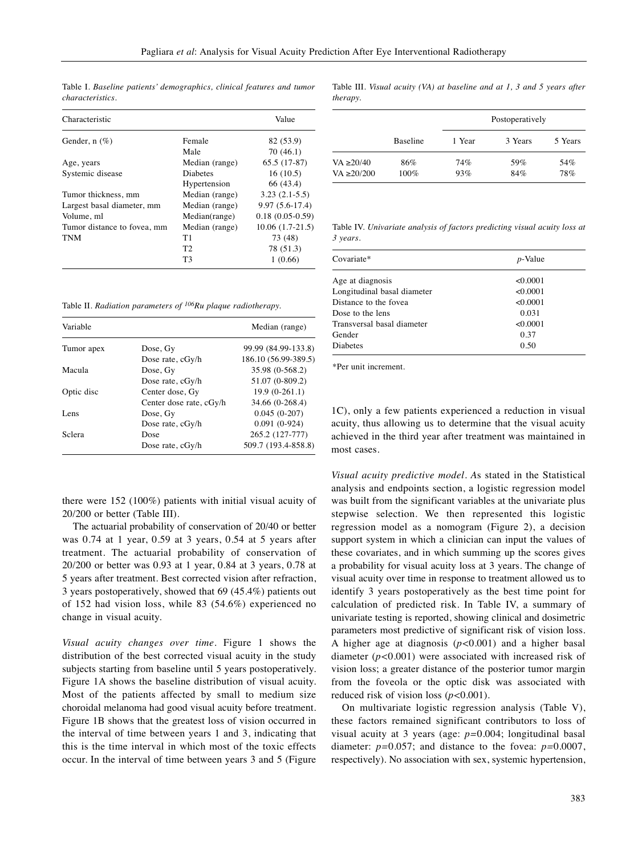| Characteristic              |                 | Value             |
|-----------------------------|-----------------|-------------------|
| Gender, $n$ (%)             | Female          | 82 (53.9)         |
|                             | Male            | 70(46.1)          |
| Age, years                  | Median (range)  | $65.5(17-87)$     |
| Systemic disease            | <b>Diabetes</b> | 16(10.5)          |
|                             | Hypertension    | 66 (43.4)         |
| Tumor thickness, mm         | Median (range)  | $3.23(2.1-5.5)$   |
| Largest basal diameter, mm  | Median (range)  | $9.97(5.6-17.4)$  |
| Volume, ml                  | Median(range)   | $0.18(0.05-0.59)$ |
| Tumor distance to fovea, mm | Median (range)  | $10.06(1.7-21.5)$ |
| <b>TNM</b>                  | T1              | 73 (48)           |
|                             | T <sub>2</sub>  | 78 (51.3)         |
|                             | T3              | 1(0.66)           |

Table I. *Baseline patients' demographics, clinical features and tumor characteristics.*

Table II. *Radiation parameters of 106Ru plaque radiotherapy.*

| Variable   |                         | Median (range)       |
|------------|-------------------------|----------------------|
| Tumor apex | Dose, Gy                | 99.99 (84.99-133.8)  |
|            | Dose rate, cGy/h        | 186.10 (56.99-389.5) |
| Macula     | Dose, Gy                | 35.98 (0-568.2)      |
|            | Dose rate, cGy/h        | 51.07 (0-809.2)      |
| Optic disc | Center dose, Gy         | $19.9(0-261.1)$      |
|            | Center dose rate, cGy/h | 34.66 (0-268.4)      |
| Lens       | Dose, Gy                | $0.045(0-207)$       |
|            | Dose rate, cGy/h        | $0.091(0-924)$       |
| Sclera     | Dose                    | 265.2 (127-777)      |
|            | Dose rate, cGy/h        | 509.7 (193.4-858.8)  |

there were 152 (100%) patients with initial visual acuity of 20/200 or better (Table III).

The actuarial probability of conservation of 20/40 or better was 0.74 at 1 year, 0.59 at 3 years, 0.54 at 5 years after treatment. The actuarial probability of conservation of 20/200 or better was 0.93 at 1 year, 0.84 at 3 years, 0.78 at 5 years after treatment. Best corrected vision after refraction, 3 years postoperatively, showed that 69 (45.4%) patients out of 152 had vision loss, while 83 (54.6%) experienced no change in visual acuity.

*Visual acuity changes over time.* Figure 1 shows the distribution of the best corrected visual acuity in the study subjects starting from baseline until 5 years postoperatively. Figure 1A shows the baseline distribution of visual acuity. Most of the patients affected by small to medium size choroidal melanoma had good visual acuity before treatment. Figure 1B shows that the greatest loss of vision occurred in the interval of time between years 1 and 3, indicating that this is the time interval in which most of the toxic effects occur. In the interval of time between years 3 and 5 (Figure Table III*. Visual acuity (VA) at baseline and at 1, 3 and 5 years after therapy.*

|                 |                 | Postoperatively |         |         |  |  |
|-----------------|-----------------|-----------------|---------|---------|--|--|
|                 | <b>Baseline</b> | 1 Year          | 3 Years | 5 Years |  |  |
| VA ≥20/40       | 86%             | 74%             | 59%     | 54%     |  |  |
| $VA \ge 20/200$ | 100%            | 93%             | 84%     | 78%     |  |  |

Table IV. *Univariate analysis of factors predicting visual acuity loss at 3 years.*

| Covariate*                  | <i>p</i> -Value |  |  |  |
|-----------------------------|-----------------|--|--|--|
| Age at diagnosis            | < 0.0001        |  |  |  |
| Longitudinal basal diameter | < 0.0001        |  |  |  |
| Distance to the fovea       | < 0.0001        |  |  |  |
| Dose to the lens            | 0.031           |  |  |  |
| Transversal basal diameter  | < 0.0001        |  |  |  |
| Gender                      | 0.37            |  |  |  |
| <b>Diabetes</b>             | 0.50            |  |  |  |

\*Per unit increment.

1C), only a few patients experienced a reduction in visual acuity, thus allowing us to determine that the visual acuity achieved in the third year after treatment was maintained in most cases.

*Visual acuity predictive model. A*s stated in the Statistical analysis and endpoints section, a logistic regression model was built from the significant variables at the univariate plus stepwise selection. We then represented this logistic regression model as a nomogram (Figure 2), a decision support system in which a clinician can input the values of these covariates, and in which summing up the scores gives a probability for visual acuity loss at 3 years. The change of visual acuity over time in response to treatment allowed us to identify 3 years postoperatively as the best time point for calculation of predicted risk. In Table IV, a summary of univariate testing is reported, showing clinical and dosimetric parameters most predictive of significant risk of vision loss. A higher age at diagnosis (*p<*0.001) and a higher basal diameter (*p<*0.001) were associated with increased risk of vision loss; a greater distance of the posterior tumor margin from the foveola or the optic disk was associated with reduced risk of vision loss (*p<*0.001).

On multivariate logistic regression analysis (Table V), these factors remained significant contributors to loss of visual acuity at 3 years (age: *p=*0.004; longitudinal basal diameter: *p=*0.057; and distance to the fovea: *p=*0.0007, respectively). No association with sex, systemic hypertension,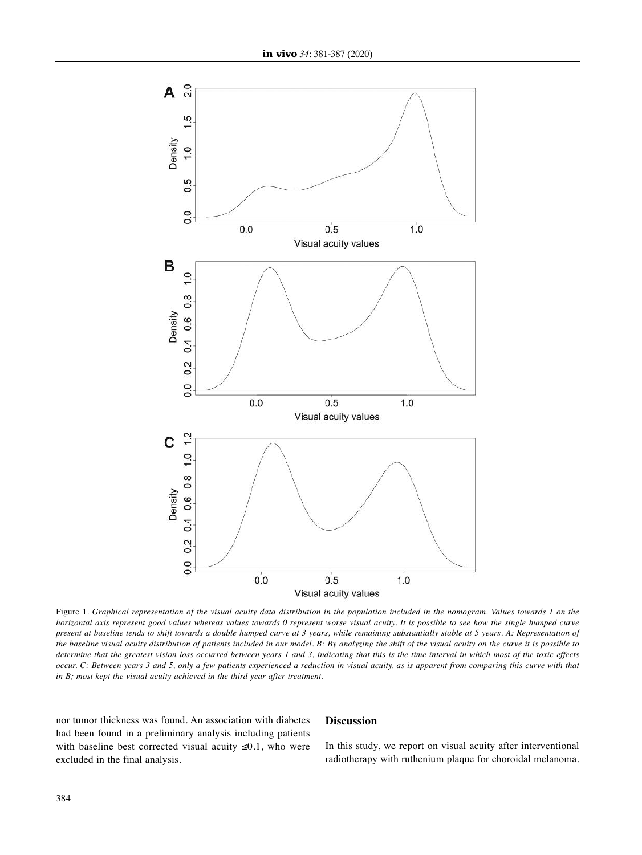

Figure 1. Graphical representation of the visual acuity data distribution in the population included in the nomogram. Values towards 1 on the horizontal axis represent good values whereas values towards 0 represent worse visual acuity. It is possible to see how the single humped curve present at baseline tends to shift towards a double humped curve at 3 years, while remaining substantially stable at 5 years. A: Representation of the baseline visual acuity distribution of patients included in our model. B: By analyzing the shift of the visual acuity on the curve it is possible to determine that the greatest vision loss occurred between years 1 and 3, indicating that this is the time interval in which most of the toxic effects occur. C: Between years 3 and 5, only a few patients experienced a reduction in visual acuity, as is apparent from comparing this curve with that *in B; most kept the visual acuity achieved in the third year after treatment.*

nor tumor thickness was found. An association with diabetes had been found in a preliminary analysis including patients with baseline best corrected visual acuity  $\leq 0.1$ , who were excluded in the final analysis.

### **Discussion**

In this study, we report on visual acuity after interventional radiotherapy with ruthenium plaque for choroidal melanoma.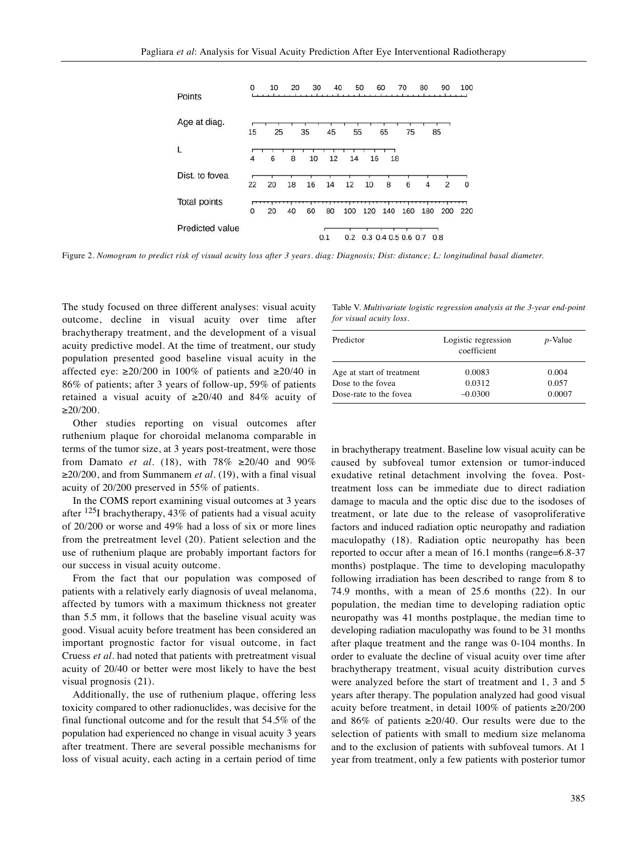| Points                 | 0  | 10 | 20 | 30 | 40  |     | 50  | 60                  | 70  | 80                    | 90             | 100      |
|------------------------|----|----|----|----|-----|-----|-----|---------------------|-----|-----------------------|----------------|----------|
| Age at diag.           | 15 | 25 |    | 35 | 45  | 55  |     | 65                  | 75  |                       | 85             |          |
| L                      | 4  | 6  | 8  | 10 | 12  | 14  | 16  | 18                  |     |                       |                |          |
| Dist. to fovea         | 22 | 20 | 18 | 16 | 14  | 12  | 10  | 8                   | 6   | $\boldsymbol{\Delta}$ | $\overline{2}$ | $\Omega$ |
| <b>Total points</b>    |    |    |    |    |     |     |     |                     |     |                       |                |          |
|                        | 0  | 20 | 40 | 60 | 80  | 100 | 120 | 140                 | 160 | 180                   | 200            | 220      |
| <b>Predicted value</b> |    |    |    |    | 0.1 | 0.2 |     | 0.3 0.4 0.5 0.6 0.7 |     |                       | 0.8            |          |

Figure 2. Nomogram to predict risk of visual acuity loss after 3 years. diag: Diagnosis; Dist: distance; L: longitudinal basal diameter.

The study focused on three different analyses: visual acuity outcome, decline in visual acuity over time after brachytherapy treatment, and the development of a visual acuity predictive model. At the time of treatment, our study population presented good baseline visual acuity in the affected eye:  $\geq$ 20/200 in 100% of patients and  $\geq$ 20/40 in 86% of patients; after 3 years of follow-up, 59% of patients retained a visual acuity of  $\geq 20/40$  and 84% acuity of  $\geq$ 20/200.

Other studies reporting on visual outcomes after ruthenium plaque for choroidal melanoma comparable in terms of the tumor size, at 3 years post-treatment, were those from Damato *et al.* (18), with  $78\% \ge 20/40$  and  $90\%$ ≥20/200, and from Summanem *et al.* (19), with a final visual acuity of 20/200 preserved in 55% of patients.

In the COMS report examining visual outcomes at 3 years after  $^{125}$ I brachytherapy, 43% of patients had a visual acuity of 20/200 or worse and 49% had a loss of six or more lines from the pretreatment level (20). Patient selection and the use of ruthenium plaque are probably important factors for our success in visual acuity outcome.

From the fact that our population was composed of patients with a relatively early diagnosis of uveal melanoma, affected by tumors with a maximum thickness not greater than 5.5 mm, it follows that the baseline visual acuity was good. Visual acuity before treatment has been considered an important prognostic factor for visual outcome, in fact Cruess *et al.* had noted that patients with pretreatment visual acuity of 20/40 or better were most likely to have the best visual prognosis (21).

Additionally, the use of ruthenium plaque, offering less toxicity compared to other radionuclides, was decisive for the final functional outcome and for the result that 54.5% of the population had experienced no change in visual acuity 3 years after treatment. There are several possible mechanisms for loss of visual acuity, each acting in a certain period of time

Table V. *Multivariate logistic regression analysis at the 3-year end-point for visual acuity loss.*

| Predictor                 | Logistic regression<br>coefficient | <i>p</i> -Value |  |  |
|---------------------------|------------------------------------|-----------------|--|--|
| Age at start of treatment | 0.0083                             | 0.004           |  |  |
| Dose to the fovea         | 0.0312                             | 0.057           |  |  |
| Dose-rate to the fovea    | $-0.0300$                          | 0.0007          |  |  |

in brachytherapy treatment. Baseline low visual acuity can be caused by subfoveal tumor extension or tumor-induced exudative retinal detachment involving the fovea. Posttreatment loss can be immediate due to direct radiation damage to macula and the optic disc due to the isodoses of treatment, or late due to the release of vasoproliferative factors and induced radiation optic neuropathy and radiation maculopathy (18). Radiation optic neuropathy has been reported to occur after a mean of 16.1 months (range=6.8-37 months) postplaque. The time to developing maculopathy following irradiation has been described to range from 8 to 74.9 months, with a mean of 25.6 months (22). In our population, the median time to developing radiation optic neuropathy was 41 months postplaque, the median time to developing radiation maculopathy was found to be 31 months after plaque treatment and the range was 0-104 months. In order to evaluate the decline of visual acuity over time after brachytherapy treatment, visual acuity distribution curves were analyzed before the start of treatment and 1, 3 and 5 years after therapy. The population analyzed had good visual acuity before treatment, in detail 100% of patients ≥20/200 and 86% of patients  $\geq 20/40$ . Our results were due to the selection of patients with small to medium size melanoma and to the exclusion of patients with subfoveal tumors. At 1 year from treatment, only a few patients with posterior tumor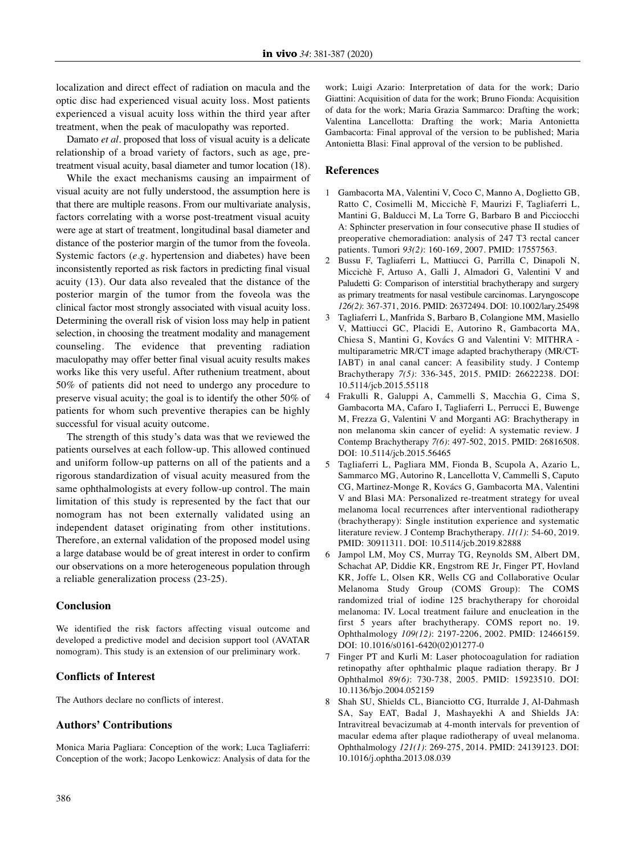localization and direct effect of radiation on macula and the optic disc had experienced visual acuity loss. Most patients experienced a visual acuity loss within the third year after treatment, when the peak of maculopathy was reported.

Damato *et al.* proposed that loss of visual acuity is a delicate relationship of a broad variety of factors, such as age, pretreatment visual acuity, basal diameter and tumor location (18).

While the exact mechanisms causing an impairment of visual acuity are not fully understood, the assumption here is that there are multiple reasons. From our multivariate analysis, factors correlating with a worse post-treatment visual acuity were age at start of treatment, longitudinal basal diameter and distance of the posterior margin of the tumor from the foveola. Systemic factors (*e.g.* hypertension and diabetes) have been inconsistently reported as risk factors in predicting final visual acuity (13). Our data also revealed that the distance of the posterior margin of the tumor from the foveola was the clinical factor most strongly associated with visual acuity loss. Determining the overall risk of vision loss may help in patient selection, in choosing the treatment modality and management counseling. The evidence that preventing radiation maculopathy may offer better final visual acuity results makes works like this very useful. After ruthenium treatment, about 50% of patients did not need to undergo any procedure to preserve visual acuity; the goal is to identify the other 50% of patients for whom such preventive therapies can be highly successful for visual acuity outcome.

The strength of this study's data was that we reviewed the patients ourselves at each follow-up. This allowed continued and uniform follow-up patterns on all of the patients and a rigorous standardization of visual acuity measured from the same ophthalmologists at every follow-up control. The main limitation of this study is represented by the fact that our nomogram has not been externally validated using an independent dataset originating from other institutions. Therefore, an external validation of the proposed model using a large database would be of great interest in order to confirm our observations on a more heterogeneous population through a reliable generalization process (23-25).

## **Conclusion**

We identified the risk factors affecting visual outcome and developed a predictive model and decision support tool (AVATAR nomogram). This study is an extension of our preliminary work.

## **Conflicts of Ιnterest**

The Authors declare no conflicts of interest.

#### **Authors' Contributions**

Monica Maria Pagliara: Conception of the work; Luca Tagliaferri: Conception of the work; Jacopo Lenkowicz: Analysis of data for the work; Luigi Azario: Interpretation of data for the work; Dario Giattini: Acquisition of data for the work; Bruno Fionda: Acquisition of data for the work; Maria Grazia Sammarco: Drafting the work; Valentina Lancellotta: Drafting the work; Maria Antonietta Gambacorta: Final approval of the version to be published; Maria Antonietta Blasi: Final approval of the version to be published.

#### **References**

- 1 Gambacorta MA, Valentini V, Coco C, Manno A, Doglietto GB, Ratto C, Cosimelli M, Miccichè F, Maurizi F, Tagliaferri L, Mantini G, Balducci M, La Torre G, Barbaro B and Picciocchi A: Sphincter preservation in four consecutive phase II studies of preoperative chemoradiation: analysis of 247 T3 rectal cancer patients. Tumori *93(2)*: 160-169, 2007. PMID: 17557563.
- 2 Bussu F, Tagliaferri L, Mattiucci G, Parrilla C, Dinapoli N, Miccichè F, Artuso A, Galli J, Almadori G, Valentini V and Paludetti G: Comparison of interstitial brachytherapy and surgery as primary treatments for nasal vestibule carcinomas. Laryngoscope *126(2)*: 367-371, 2016. PMID: 26372494. DOI: 10.1002/lary.25498
- 3 Tagliaferri L, Manfrida S, Barbaro B, Colangione MM, Masiello V, Mattiucci GC, Placidi E, Autorino R, Gambacorta MA, Chiesa S, Mantini G, Kovács G and Valentini V: MITHRA multiparametric MR/CT image adapted brachytherapy (MR/CT-IABT) in anal canal cancer: A feasibility study. J Contemp Brachytherapy *7(5)*: 336-345, 2015. PMID: 26622238. DOI: 10.5114/jcb.2015.55118
- 4 Frakulli R, Galuppi A, Cammelli S, Macchia G, Cima S, Gambacorta MA, Cafaro I, Tagliaferri L, Perrucci E, Buwenge M, Frezza G, Valentini V and Morganti AG: Brachytherapy in non melanoma skin cancer of eyelid: A systematic review. J Contemp Brachytherapy *7(6)*: 497-502, 2015. PMID: 26816508. DOI: 10.5114/jcb.2015.56465
- 5 Tagliaferri L, Pagliara MM, Fionda B, Scupola A, Azario L, Sammarco MG, Autorino R, Lancellotta V, Cammelli S, Caputo CG, Martinez-Monge R, Kovács G, Gambacorta MA, Valentini V and Blasi MA: Personalized re-treatment strategy for uveal melanoma local recurrences after interventional radiotherapy (brachytherapy): Single institution experience and systematic literature review. J Contemp Brachytherapy. *11(1)*: 54-60, 2019. PMID: 30911311. DOI: 10.5114/jcb.2019.82888
- 6 Jampol LM, Moy CS, Murray TG, Reynolds SM, Albert DM, Schachat AP, Diddie KR, Engstrom RE Jr, Finger PT, Hovland KR, Joffe L, Olsen KR, Wells CG and Collaborative Ocular Melanoma Study Group (COMS Group): The COMS randomized trial of iodine 125 brachytherapy for choroidal melanoma: IV. Local treatment failure and enucleation in the first 5 years after brachytherapy. COMS report no. 19. Ophthalmology *109(12)*: 2197-2206, 2002. PMID: 12466159. DOI: 10.1016/s0161-6420(02)01277-0
- 7 Finger PT and Kurli M: Laser photocoagulation for radiation retinopathy after ophthalmic plaque radiation therapy. Br J Ophthalmol *89(6)*: 730-738, 2005. PMID: 15923510. DOI: 10.1136/bjo.2004.052159
- 8 Shah SU, Shields CL, Bianciotto CG, Iturralde J, Al-Dahmash SA, Say EAT, Badal J, Mashayekhi A and Shields JA: Intravitreal bevacizumab at 4-month intervals for prevention of macular edema after plaque radiotherapy of uveal melanoma. Ophthalmology *121(1)*: 269-275, 2014. PMID: 24139123. DOI: 10.1016/j.ophtha.2013.08.039